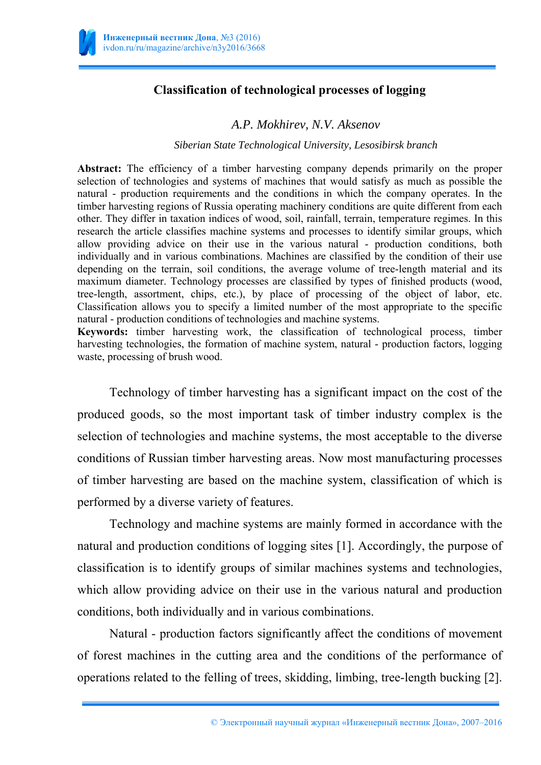

## **Classification of technological processes of logging**

## *A.P. Mokhirev, N.V. Aksenov*

## *Siberian State Technological University, Lesosibirsk branch*

Abstract: The efficiency of a timber harvesting company depends primarily on the proper selection of technologies and systems of machines that would satisfy as much as possible the natural - production requirements and the conditions in which the company operates. In the timber harvesting regions of Russia operating machinery conditions are quite different from each other. They differ in taxation indices of wood, soil, rainfall, terrain, temperature regimes. In this research the article classifies machine systems and processes to identify similar groups, which allow providing advice on their use in the various natural - production conditions, both individually and in various combinations. Machines are classified by the condition of their use depending on the terrain, soil conditions, the average volume of tree-length material and its maximum diameter. Technology processes are classified by types of finished products (wood, tree-length, assortment, chips, etc.), by place of processing of the object of labor, etc. Classification allows you to specify a limited number of the most appropriate to the specific natural - production conditions of technologies and machine systems.

**Keywords:** timber harvesting work, the classification of technological process, timber harvesting technologies, the formation of machine system, natural - production factors, logging waste, processing of brush wood.

Technology of timber harvesting has a significant impact on the cost of the produced goods, so the most important task of timber industry complex is the selection of technologies and machine systems, the most acceptable to the diverse conditions of Russian timber harvesting areas. Now most manufacturing processes of timber harvesting are based on the machine system, classification of which is performed by a diverse variety of features.

Technology and machine systems are mainly formed in accordance with the natural and production conditions of logging sites [1]. Accordingly, the purpose of classification is to identify groups of similar machines systems and technologies, which allow providing advice on their use in the various natural and production conditions, both individually and in various combinations.

Natural - production factors significantly affect the conditions of movement of forest machines in the cutting area and the conditions of the performance of operations related to the felling of trees, skidding, limbing, tree-length bucking [2].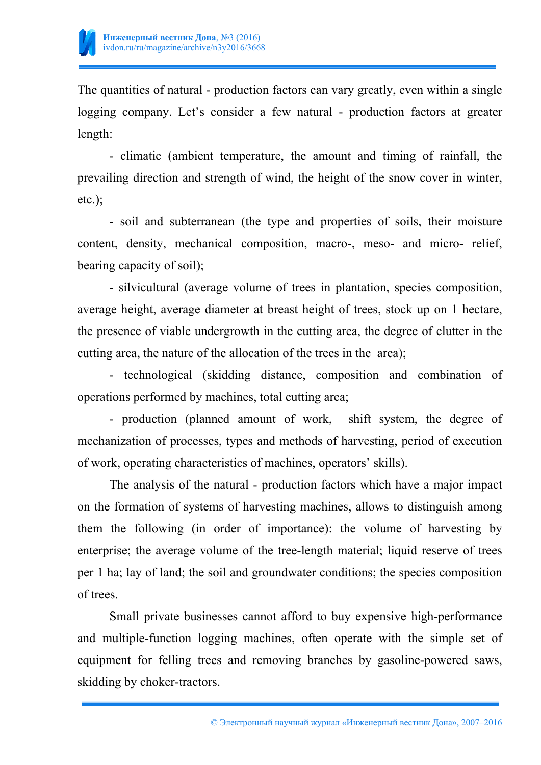

The quantities of natural - production factors can vary greatly, even within a single logging company. Let's consider a few natural - production factors at greater length:

- climatic (ambient temperature, the amount and timing of rainfall, the prevailing direction and strength of wind, the height of the snow cover in winter, etc.);

- soil and subterranean (the type and properties of soils, their moisture content, density, mechanical composition, macro-, meso- and micro- relief, bearing capacity of soil);

- silvicultural (average volume of trees in plantation, species composition, average height, average diameter at breast height of trees, stock up on 1 hectare, the presence of viable undergrowth in the cutting area, the degree of clutter in the cutting area, the nature of the allocation of the trees in the area);

- technological (skidding distance, composition and combination of operations performed by machines, total cutting area;

- production (planned amount of work, shift system, the degree of mechanization of processes, types and methods of harvesting, period of execution of work, operating characteristics of machines, operators' skills).

The analysis of the natural - production factors which have a major impact on the formation of systems of harvesting machines, allows to distinguish among them the following (in order of importance): the volume of harvesting by enterprise; the average volume of the tree-length material; liquid reserve of trees per 1 ha; lay of land; the soil and groundwater conditions; the species composition of trees.

Small private businesses cannot afford to buy expensive high-performance and multiple-function logging machines, often operate with the simple set of equipment for felling trees and removing branches by gasoline-powered saws, skidding by choker-tractors.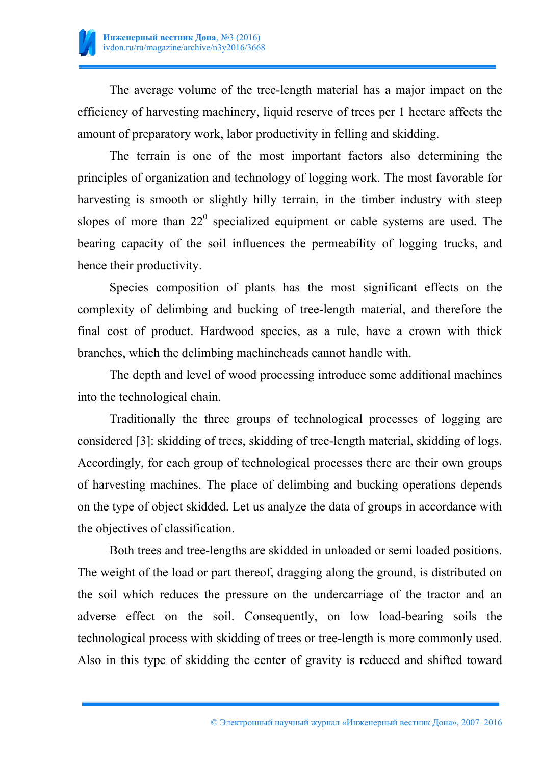

The average volume of the tree-length material has a major impact on the efficiency of harvesting machinery, liquid reserve of trees per 1 hectare affects the amount of preparatory work, labor productivity in felling and skidding.

The terrain is one of the most important factors also determining the principles of organization and technology of logging work. The most favorable for harvesting is smooth or slightly hilly terrain, in the timber industry with steep slopes of more than  $22^{\circ}$  specialized equipment or cable systems are used. The bearing capacity of the soil influences the permeability of logging trucks, and hence their productivity.

Species composition of plants has the most significant effects on the complexity of delimbing and bucking of tree-length material, and therefore the final cost of product. Hardwood species, as a rule, have a crown with thick branches, which the delimbing machineheads cannot handle with.

The depth and level of wood processing introduce some additional machines into the technological chain.

Traditionally the three groups of technological processes of logging are considered [3]: skidding of trees, skidding of tree-length material, skidding of logs. Accordingly, for each group of technological processes there are their own groups of harvesting machines. The place of delimbing and bucking operations depends on the type of object skidded. Let us analyze the data of groups in accordance with the objectives of classification.

Both trees and tree-lengths are skidded in unloaded or semi loaded positions. The weight of the load or part thereof, dragging along the ground, is distributed on the soil which reduces the pressure on the undercarriage of the tractor and an adverse effect on the soil. Consequently, on low load-bearing soils the technological process with skidding of trees or tree-length is more commonly used. Also in this type of skidding the center of gravity is reduced and shifted toward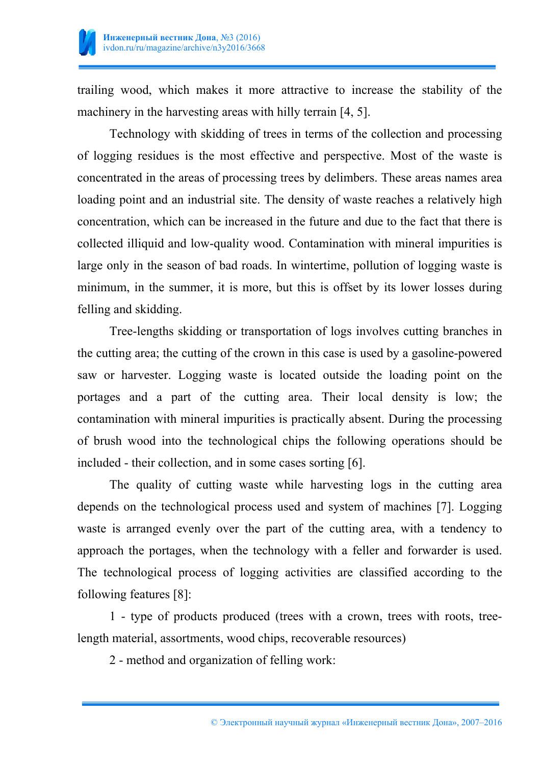

trailing wood, which makes it more attractive to increase the stability of the machinery in the harvesting areas with hilly terrain [4, 5].

Technology with skidding of trees in terms of the collection and processing of logging residues is the most effective and perspective. Most of the waste is concentrated in the areas of processing trees by delimbers. These areas names area loading point and an industrial site. The density of waste reaches a relatively high concentration, which can be increased in the future and due to the fact that there is collected illiquid and low-quality wood. Contamination with mineral impurities is large only in the season of bad roads. In wintertime, pollution of logging waste is minimum, in the summer, it is more, but this is offset by its lower losses during felling and skidding.

Tree-lengths skidding or transportation of logs involves cutting branches in the cutting area; the cutting of the crown in this case is used by a gasoline-powered saw or harvester. Logging waste is located outside the loading point on the portages and a part of the cutting area. Their local density is low; the contamination with mineral impurities is practically absent. During the processing of brush wood into the technological chips the following operations should be included - their collection, and in some cases sorting [6].

The quality of cutting waste while harvesting logs in the cutting area depends on the technological process used and system of machines [7]. Logging waste is arranged evenly over the part of the cutting area, with a tendency to approach the portages, when the technology with a feller and forwarder is used. The technological process of logging activities are classified according to the following features [8]:

1 - type of products produced (trees with a crown, trees with roots, treelength material, assortments, wood chips, recoverable resources)

2 - method and organization of felling work: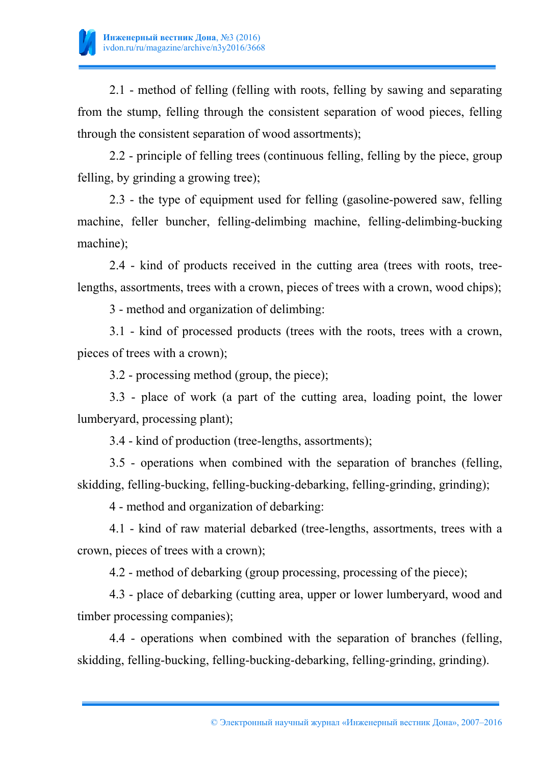

2.1 - method of felling (felling with roots, felling by sawing and separating from the stump, felling through the consistent separation of wood pieces, felling through the consistent separation of wood assortments);

2.2 - principle of felling trees (continuous felling, felling by the piece, group felling, by grinding a growing tree);

2.3 - the type of equipment used for felling (gasoline-powered saw, felling machine, feller buncher, felling-delimbing machine, felling-delimbing-bucking machine);

2.4 - kind of products received in the cutting area (trees with roots, treelengths, assortments, trees with a crown, pieces of trees with a crown, wood chips);

3 - method and organization of delimbing:

3.1 - kind of processed products (trees with the roots, trees with a crown, pieces of trees with a crown);

3.2 - processing method (group, the piece);

3.3 - place of work (a part of the cutting area, loading point, the lower lumberyard, processing plant);

3.4 - kind of production (tree-lengths, assortments);

3.5 - operations when combined with the separation of branches (felling, skidding, felling-bucking, felling-bucking-debarking, felling-grinding, grinding);

4 - method and organization of debarking:

4.1 - kind of raw material debarked (tree-lengths, assortments, trees with a crown, pieces of trees with a crown);

4.2 - method of debarking (group processing, processing of the piece);

4.3 - place of debarking (cutting area, upper or lower lumberyard, wood and timber processing companies);

4.4 - operations when combined with the separation of branches (felling, skidding, felling-bucking, felling-bucking-debarking, felling-grinding, grinding).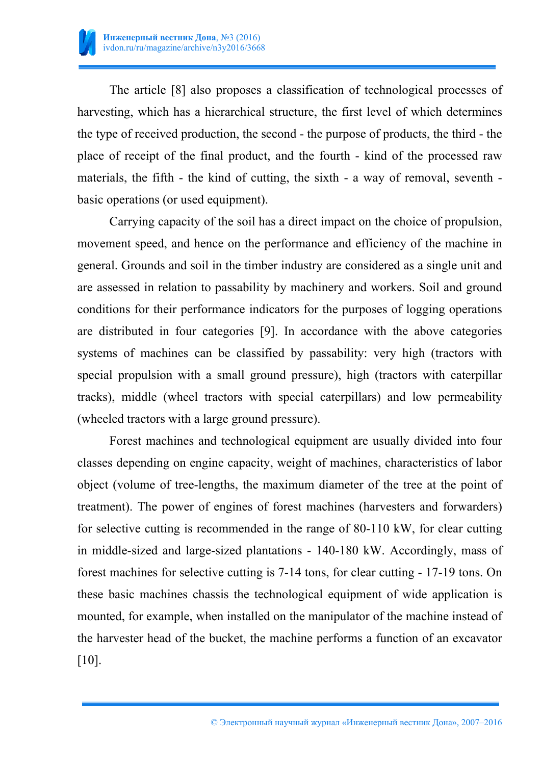

The article [8] also proposes a classification of technological processes of harvesting, which has a hierarchical structure, the first level of which determines the type of received production, the second - the purpose of products, the third - the place of receipt of the final product, and the fourth - kind of the processed raw materials, the fifth - the kind of cutting, the sixth - a way of removal, seventh basic operations (or used equipment).

Carrying capacity of the soil has a direct impact on the choice of propulsion, movement speed, and hence on the performance and efficiency of the machine in general. Grounds and soil in the timber industry are considered as a single unit and are assessed in relation to passability by machinery and workers. Soil and ground conditions for their performance indicators for the purposes of logging operations are distributed in four categories [9]. In accordance with the above categories systems of machines can be classified by passability: very high (tractors with special propulsion with a small ground pressure), high (tractors with caterpillar tracks), middle (wheel tractors with special caterpillars) and low permeability (wheeled tractors with a large ground pressure).

Forest machines and technological equipment are usually divided into four classes depending on engine capacity, weight of machines, characteristics of labor object (volume of tree-lengths, the maximum diameter of the tree at the point of treatment). The power of engines of forest machines (harvesters and forwarders) for selective cutting is recommended in the range of 80-110 kW, for clear cutting in middle-sized and large-sized plantations - 140-180 kW. Accordingly, mass of forest machines for selective cutting is 7-14 tons, for clear cutting - 17-19 tons. On these basic machines chassis the technological equipment of wide application is mounted, for example, when installed on the manipulator of the machine instead of the harvester head of the bucket, the machine performs a function of an excavator [10].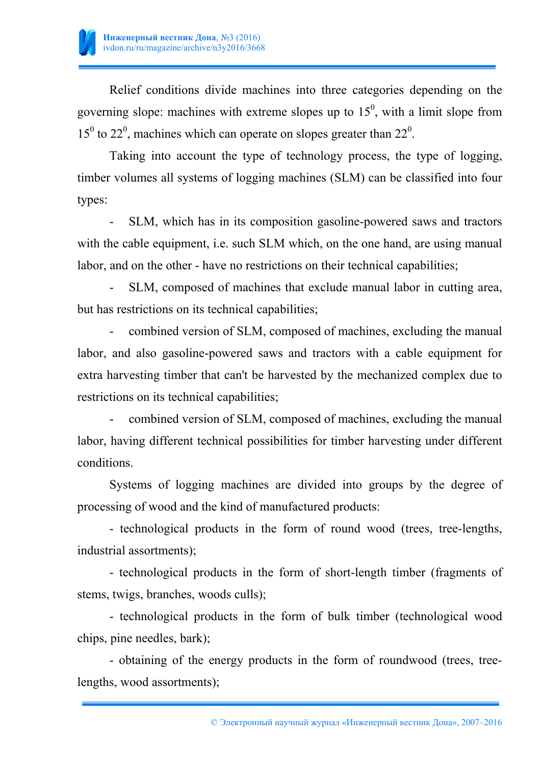

Relief conditions divide machines into three categories depending on the governing slope: machines with extreme slopes up to  $15<sup>0</sup>$ , with a limit slope from  $15^{\circ}$  to  $22^{\circ}$ , machines which can operate on slopes greater than  $22^{\circ}$ .

Taking into account the type of technology process, the type of logging, timber volumes all systems of logging machines (SLM) can be classified into four types:

SLM, which has in its composition gasoline-powered saws and tractors with the cable equipment, i.e. such SLM which, on the one hand, are using manual labor, and on the other - have no restrictions on their technical capabilities;

SLM, composed of machines that exclude manual labor in cutting area, but has restrictions on its technical capabilities;

- combined version of SLM, composed of machines, excluding the manual labor, and also gasoline-powered saws and tractors with a cable equipment for extra harvesting timber that can't be harvested by the mechanized complex due to restrictions on its technical capabilities;

combined version of SLM, composed of machines, excluding the manual labor, having different technical possibilities for timber harvesting under different conditions.

Systems of logging machines are divided into groups by the degree of processing of wood and the kind of manufactured products:

- technological products in the form of round wood (trees, tree-lengths, industrial assortments);

- technological products in the form of short-length timber (fragments of stems, twigs, branches, woods culls);

- technological products in the form of bulk timber (technological wood chips, pine needles, bark);

- obtaining of the energy products in the form of roundwood (trees, treelengths, wood assortments);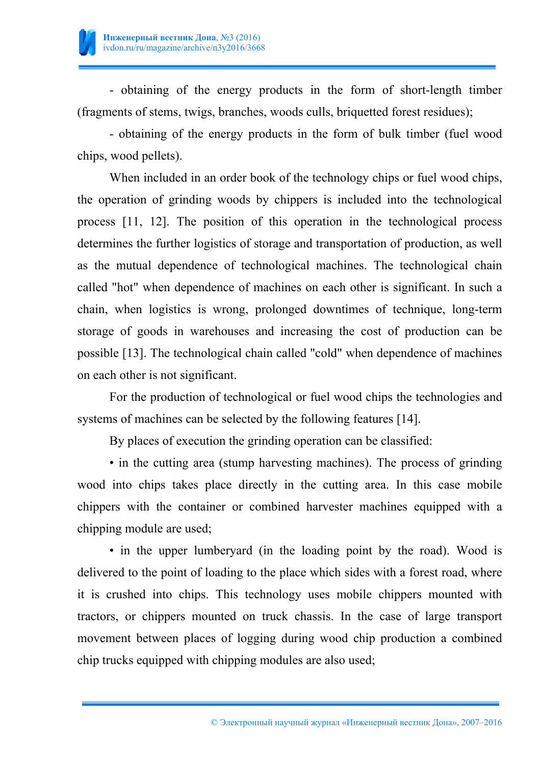

- obtaining of the energy products in the form of short-length timber (fragments of stems, twigs, branches, woods culls, briquetted forest residues);

- obtaining of the energy products in the form of bulk timber (fuel wood chips, wood pellets).

When included in an order book of the technology chips or fuel wood chips, the operation of grinding woods by chippers is included into the technological process [11, 12]. The position of this operation in the technological process determines the further logistics of storage and transportation of production, as well as the mutual dependence of technological machines. The technological chain called "hot" when dependence of machines on each other is significant. In such a chain, when logistics is wrong, prolonged downtimes of technique, long-term storage of goods in warehouses and increasing the cost of production can be possible [13]. The technological chain called "cold" when dependence of machines on each other is not significant.

For the production of technological or fuel wood chips the technologies and systems of machines can be selected by the following features [14].

By places of execution the grinding operation can be classified:

• in the cutting area (stump harvesting machines). The process of grinding wood into chips takes place directly in the cutting area. In this case mobile chippers with the container or combined harvester machines equipped with a chipping module are used;

• in the upper lumberyard (in the loading point by the road). Wood is delivered to the point of loading to the place which sides with a forest road, where it is crushed into chips. This technology uses mobile chippers mounted with tractors, or chippers mounted on truck chassis. In the case of large transport movement between places of logging during wood chip production a combined chip trucks equipped with chipping modules are also used;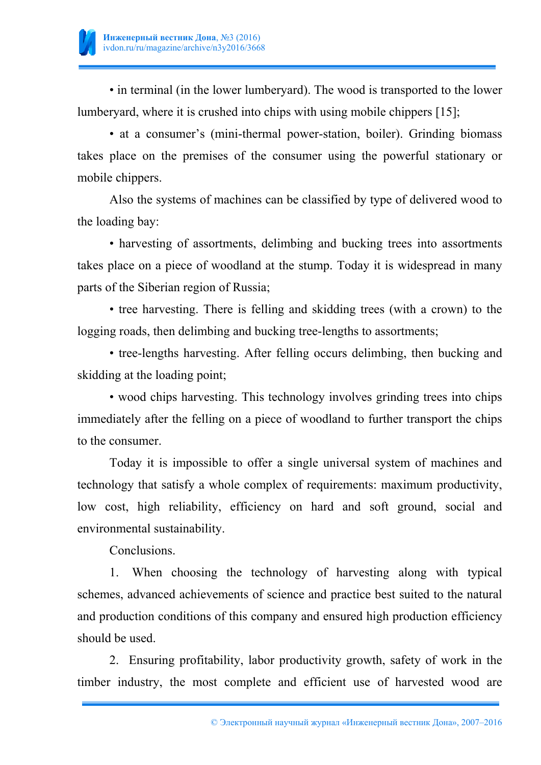

• in terminal (in the lower lumberyard). The wood is transported to the lower lumberyard, where it is crushed into chips with using mobile chippers [15];

• at a consumer's (mini-thermal power-station, boiler). Grinding biomass takes place on the premises of the consumer using the powerful stationary or mobile chippers.

Also the systems of machines can be classified by type of delivered wood to the loading bay:

• harvesting of assortments, delimbing and bucking trees into assortments takes place on a piece of woodland at the stump. Today it is widespread in many parts of the Siberian region of Russia;

• tree harvesting. There is felling and skidding trees (with a crown) to the logging roads, then delimbing and bucking tree-lengths to assortments;

• tree-lengths harvesting. After felling occurs delimbing, then bucking and skidding at the loading point;

• wood chips harvesting. This technology involves grinding trees into chips immediately after the felling on a piece of woodland to further transport the chips to the consumer.

Today it is impossible to offer a single universal system of machines and technology that satisfy a whole complex of requirements: maximum productivity, low cost, high reliability, efficiency on hard and soft ground, social and environmental sustainability.

Сonclusions.

1. When choosing the technology of harvesting along with typical schemes, advanced achievements of science and practice best suited to the natural and production conditions of this company and ensured high production efficiency should be used.

2. Ensuring profitability, labor productivity growth, safety of work in the timber industry, the most complete and efficient use of harvested wood are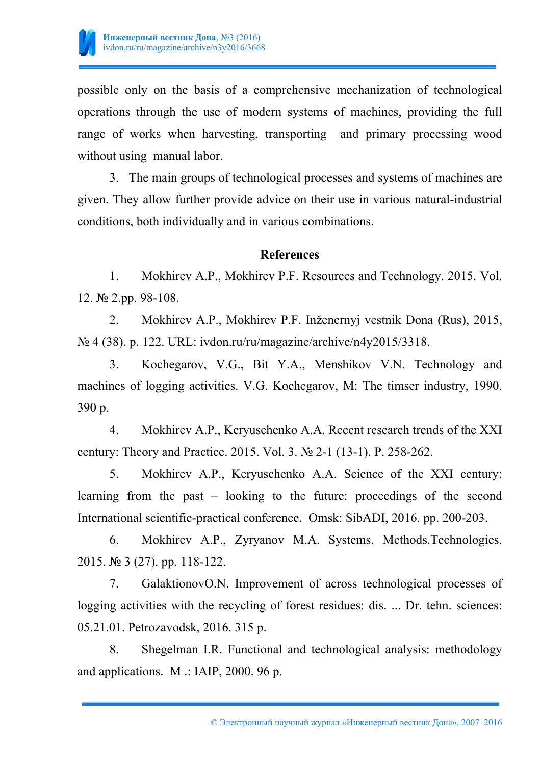

possible only on the basis of a comprehensive mechanization of technological operations through the use of modern systems of machines, providing the full range of works when harvesting, transporting and primary processing wood without using manual labor.

3. The main groups of technological processes and systems of machines are given. They allow further provide advice on their use in various natural-industrial conditions, both individually and in various combinations.

## **References**

1. Mokhirev A.P., Mokhirev P.F. Resources and Technology. 2015. Vol. 12. № 2.pp. 98-108.

2. Mokhirev A.P., Mokhirev P.F. Inženernyj vestnik Dona (Rus), 2015, № 4 (38). p. 122. URL: ivdon.ru/ru/magazine/archive/n4y2015/3318.

3. Kochegarov, V.G., Bit Y.A., Menshikov V.N. Technology and machines of logging activities. V.G. Kochegarov, M: The timser industry, 1990. 390 p.

4. Mokhirev A.P., Keryuschenko A.A. Recent research trends of the XXI century: Theory and Practice. 2015. Vol. 3. № 2-1 (13-1). P. 258-262.

5. Mokhirev A.P., Keryuschenko A.A. Science of the XXI century: learning from the past – looking to the future: proceedings of the second International scientific-practical conference. Omsk: SibADI, 2016. pp. 200-203.

6. Mokhirev A.P., Zyryanov M.A. Systems. Methods.Technologies. 2015. № 3 (27). pp. 118-122.

7. GalaktionovO.N. Improvement of across technological processes of logging activities with the recycling of forest residues: dis. ... Dr. tehn. sciences: 05.21.01. Petrozavodsk, 2016. 315 p.

8. Shegelman I.R. Functional and technological analysis: methodology and applications. M .: IAIP, 2000. 96 p.